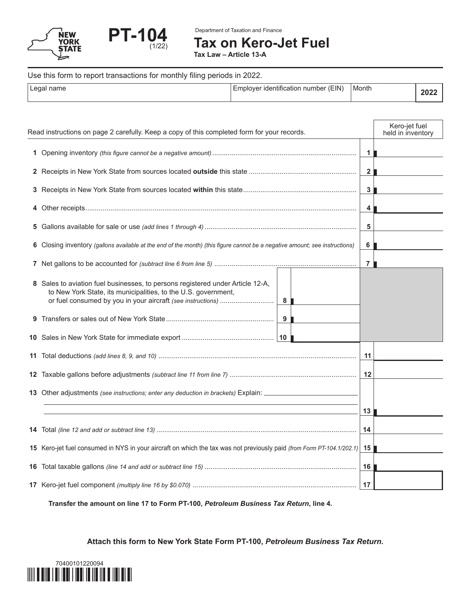

Department of Taxation and Finance

# **Tax on Kero-Jet Fuel**

**Tax Law – Article 13-A**

| Use this form to report transactions for monthly filing periods in 2022. |                                      |       |      |  |  |  |
|--------------------------------------------------------------------------|--------------------------------------|-------|------|--|--|--|
| ∣ Legal name                                                             | Employer identification number (EIN) | Month | 2022 |  |  |  |

|                                                                                                                       | Read instructions on page 2 carefully. Keep a copy of this completed form for your records.                                                                                                                     |                |    |  |
|-----------------------------------------------------------------------------------------------------------------------|-----------------------------------------------------------------------------------------------------------------------------------------------------------------------------------------------------------------|----------------|----|--|
|                                                                                                                       | 11                                                                                                                                                                                                              |                |    |  |
|                                                                                                                       |                                                                                                                                                                                                                 | 2 <sub>1</sub> |    |  |
|                                                                                                                       | 3 <sup>1</sup>                                                                                                                                                                                                  |                |    |  |
|                                                                                                                       |                                                                                                                                                                                                                 | 4              |    |  |
|                                                                                                                       |                                                                                                                                                                                                                 | 5              |    |  |
|                                                                                                                       | 6 Closing inventory (gallons available at the end of the month) (this figure cannot be a negative amount; see instructions)<br>6 <sup>1</sup>                                                                   |                |    |  |
|                                                                                                                       |                                                                                                                                                                                                                 |                |    |  |
|                                                                                                                       | 8 Sales to aviation fuel businesses, to persons registered under Article 12-A,<br>to New York State, its municipalities, to the U.S. government,<br>or fuel consumed by you in your aircraft (see instructions) | 8              |    |  |
|                                                                                                                       |                                                                                                                                                                                                                 | 9              |    |  |
|                                                                                                                       |                                                                                                                                                                                                                 |                |    |  |
|                                                                                                                       |                                                                                                                                                                                                                 |                | 11 |  |
|                                                                                                                       |                                                                                                                                                                                                                 |                | 12 |  |
|                                                                                                                       | 13 Other adjustments (see instructions; enter any deduction in brackets) Explain: _________                                                                                                                     |                |    |  |
|                                                                                                                       | 13                                                                                                                                                                                                              |                |    |  |
|                                                                                                                       |                                                                                                                                                                                                                 |                | 14 |  |
| 15 Kero-jet fuel consumed in NYS in your aircraft on which the tax was not previously paid (from Form PT-104.1/202.1) |                                                                                                                                                                                                                 |                | 15 |  |
| 16                                                                                                                    |                                                                                                                                                                                                                 |                |    |  |
| 17                                                                                                                    |                                                                                                                                                                                                                 |                |    |  |

**Transfer the amount on line 17 to Form PT-100,** *Petroleum Business Tax Return***, line 4***.*

**Attach this form to New York State Form PT-100,** *Petroleum Business Tax Return.*